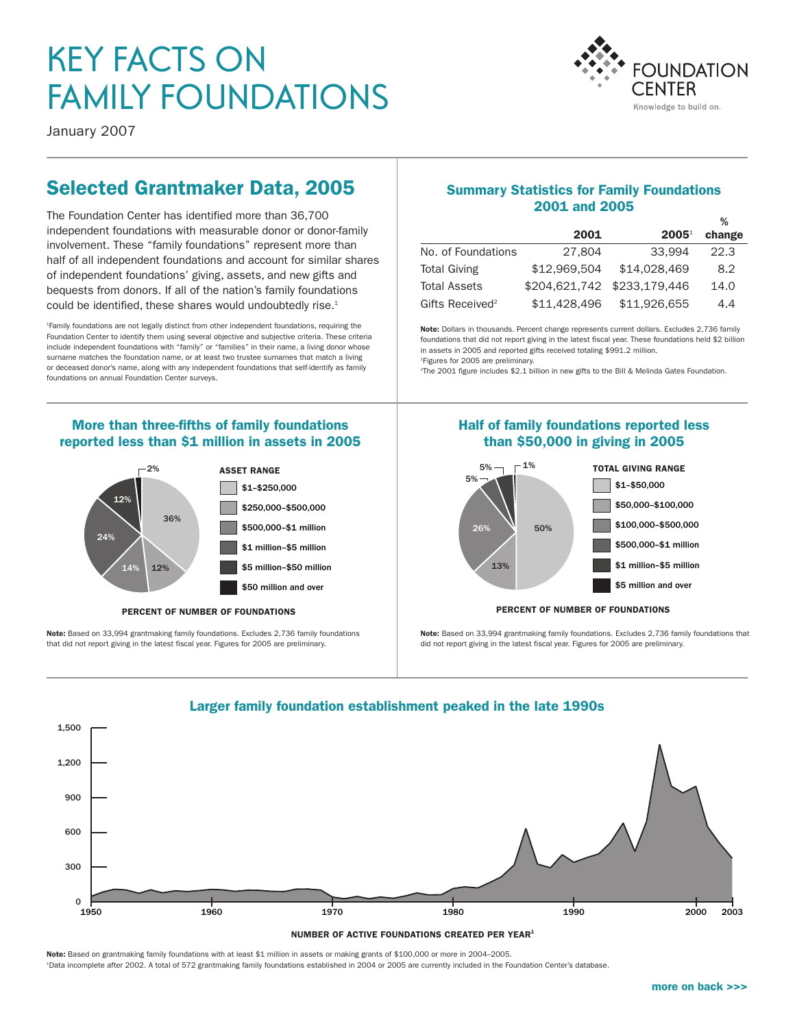# KEY FACTS ON FAMILY FOUNDATIONS

January 2007

# Selected Grantmaker Data, 2005

The Foundation Center has identified more than 36,700 independent foundations with measurable donor or donor-family involvement. These "family foundations" represent more than half of all independent foundations and account for similar shares of independent foundations' giving, assets, and new gifts and bequests from donors. If all of the nation's family foundations could be identified, these shares would undoubtedly rise.<sup>1</sup>

1 Family foundations are not legally distinct from other independent foundations, requiring the Foundation Center to identify them using several objective and subjective criteria. These criteria include independent foundations with "family" or "families" in their name, a living donor whose surname matches the foundation name, or at least two trustee surnames that match a living or deceased donor's name, along with any independent foundations that self-identify as family foundations on annual Foundation Center surveys.

### Summary Statistics for Family Foundations 2001 and 2005

|                             |               |               | $\%$   |
|-----------------------------|---------------|---------------|--------|
|                             | 2001          | 20051         | change |
| No. of Foundations          | 27.804        | 33.994        | 22.3   |
| <b>Total Giving</b>         | \$12,969,504  | \$14.028.469  | 8.2    |
| <b>Total Assets</b>         | \$204,621,742 | \$233,179,446 | 14.0   |
| Gifts Received <sup>2</sup> | \$11,428,496  | \$11,926,655  | 4.4    |

Note: Dollars in thousands. Percent change represents current dollars. Excludes 2,736 family foundations that did not report giving in the latest fiscal year. These foundations held \$2 billion in assets in 2005 and reported gifts received totaling \$991.2 million. 1 Figures for 2005 are preliminary.

2 The 2001 figure includes \$2.1 billion in new gifts to the Bill & Melinda Gates Foundation.

#### More than three-fifths of family foundations reported less than \$1 million in assets in 2005



PERCENT OF NUMBER OF FOUNDATIONS

Note: Based on 33,994 grantmaking family foundations. Excludes 2,736 family foundations that did not report giving in the latest fiscal year. Figures for 2005 are preliminary.

#### Half of family foundations reported less than \$50,000 in giving in 2005



PERCENT OF NUMBER OF FOUNDATIONS

Note: Based on 33,994 grantmaking family foundations. Excludes 2,736 family foundations that did not report giving in the latest fiscal year. Figures for 2005 are preliminary.



NUMBER OF ACTIVE FOUNDATIONS CREATED PER YEAR1

Note: Based on grantmaking family foundations with at least \$1 million in assets or making grants of \$100,000 or more in 2004–2005. Data incomplete after 2002. A total of 572 grantmaking family foundations established in 2004 or 2005 are currently included in the Foundation Center's database.

**FOUNDATION** 

CFNTFR Knowledge to build on.

#### more on back >>>